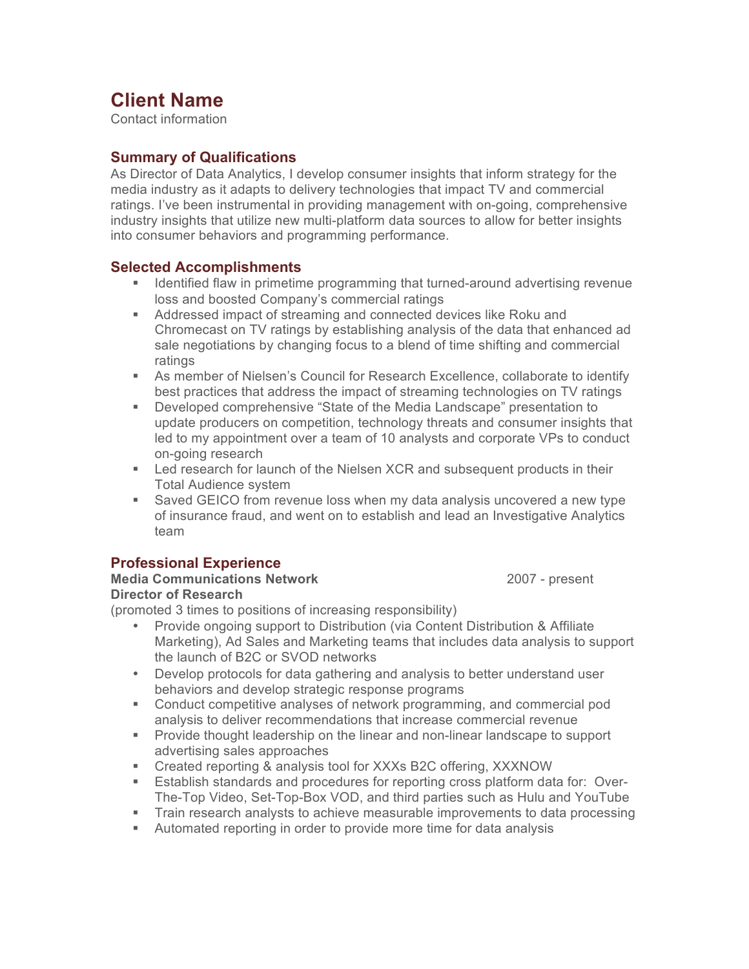# **Client Name**

Contact information

#### **Summary of Qualifications**

As Director of Data Analytics, I develop consumer insights that inform strategy for the media industry as it adapts to delivery technologies that impact TV and commercial ratings. I've been instrumental in providing management with on-going, comprehensive industry insights that utilize new multi-platform data sources to allow for better insights into consumer behaviors and programming performance.

#### **Selected Accomplishments**

- ! Identified flaw in primetime programming that turned-around advertising revenue loss and boosted Company's commercial ratings
- **EXECT** Addressed impact of streaming and connected devices like Roku and Chromecast on TV ratings by establishing analysis of the data that enhanced ad sale negotiations by changing focus to a blend of time shifting and commercial ratings
- ! As member of Nielsen's Council for Research Excellence, collaborate to identify best practices that address the impact of streaming technologies on TV ratings
- ! Developed comprehensive "State of the Media Landscape" presentation to update producers on competition, technology threats and consumer insights that led to my appointment over a team of 10 analysts and corporate VPs to conduct on-going research
- **EXECT** Led research for launch of the Nielsen XCR and subsequent products in their Total Audience system
- ! Saved GEICO from revenue loss when my data analysis uncovered a new type of insurance fraud, and went on to establish and lead an Investigative Analytics team

#### **Professional Experience**

#### **Media Communications Network** 2007 - present **Director of Research**

(promoted 3 times to positions of increasing responsibility)

- Provide ongoing support to Distribution (via Content Distribution & Affiliate Marketing), Ad Sales and Marketing teams that includes data analysis to support the launch of B2C or SVOD networks
- Develop protocols for data gathering and analysis to better understand user behaviors and develop strategic response programs
- ! Conduct competitive analyses of network programming, and commercial pod analysis to deliver recommendations that increase commercial revenue
- ! Provide thought leadership on the linear and non-linear landscape to support advertising sales approaches
- ! Created reporting & analysis tool for XXXs B2C offering, XXXNOW
- ! Establish standards and procedures for reporting cross platform data for: Over-The-Top Video, Set-Top-Box VOD, and third parties such as Hulu and YouTube
- ! Train research analysts to achieve measurable improvements to data processing
- ! Automated reporting in order to provide more time for data analysis